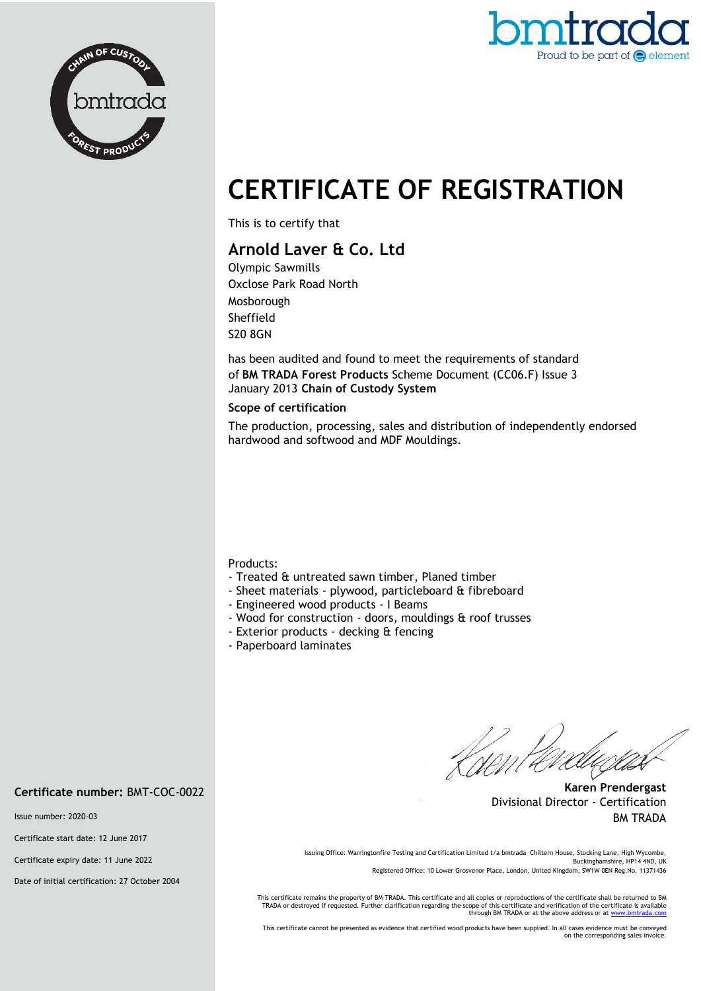



# **CERTIFICATE OF REGISTRATION**

This is to certify that

## **Arnold Laver & Co. Ltd**

Olympic Sawmills Oxclose Park Road North Mosborough Sheffield S20 8GN

has been audited and found to meet the requirements of standard of **BM TRADA Forest Products** Scheme Document (CC06.F) Issue 3 January 2013 **Chain of Custody System**

#### **Scope of certification**

The production, processing, sales and distribution of independently endorsed hardwood and softwood and MDF Mouldings.

Products:

- Treated & untreated sawn timber, Planed timber
- Sheet materials plywood, particleboard & fibreboard
- Engineered wood products I Beams
- Wood for construction doors, mouldings & roof trusses
- Exterior products decking & fencing
- Paperboard laminates

**Karen Prendergast** Divisional Director - Certification BM TRADA

Issuing Office: Warringtonfire Testing and Certification Limited t/a bmtrada Chiltern House, Stocking Lane, High Wycombe, Buckinghamshire, HP14 4ND, UK Registered Office: 10 Lower Grosvenor Place, London, United Kingdom, SW1W 0EN Reg.No. 11371436

This certificate remains the property of BM TRADA. This certificate and all copies or reproductions of the certificate shall be returned to BM TRADA or destroyed if requested. Further clarification regarding the scope of this certificate and verification of the certificate is available<br>through BM TRADA or at the above address or at <u>www.bmtrada.com</u>

This certificate cannot be presented as evidence that certified wood products have been supplied. In all cases evidence must be conveyed on the corresponding sales invoice.

## **Certificate number:** BMT-COC-0022

Issue number: 2020-03

Certificate start date: 12 June 2017

Certificate expiry date: 11 June 2022

Date of initial certification: 27 October 2004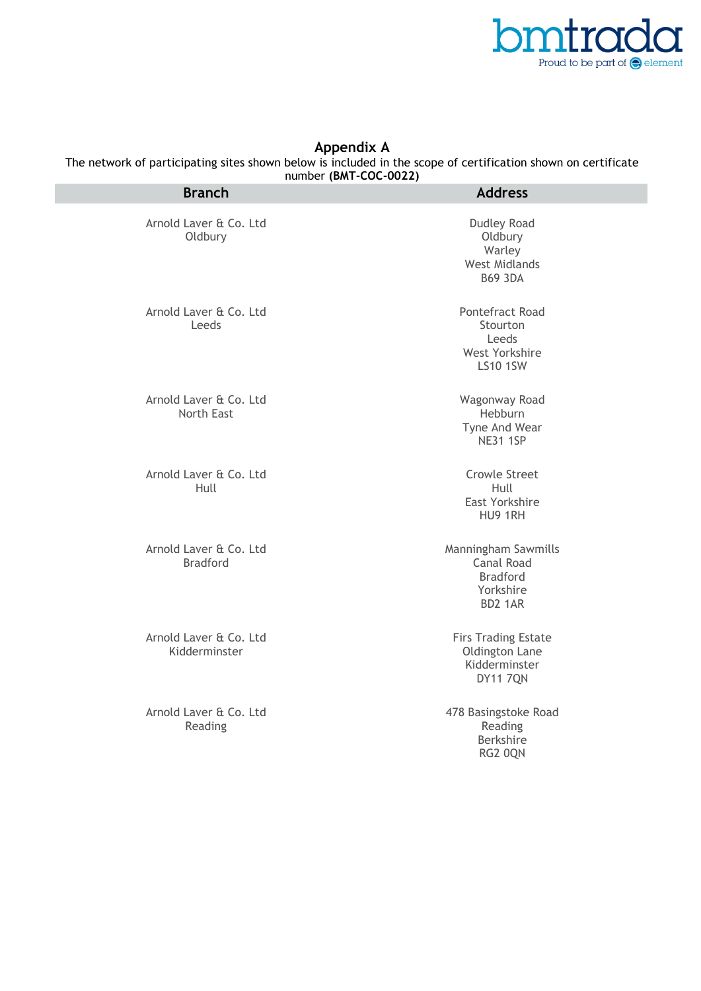

## **Appendix A**

The network of participating sites shown below is included in the scope of certification shown on certificate number **(BMT-COC-0022)**

| <b>Branch</b>                               | $1101110C1$ (DMIT COC OVER)<br><b>Address</b>                                     |
|---------------------------------------------|-----------------------------------------------------------------------------------|
| Arnold Laver & Co. Ltd<br>Oldbury           | <b>Dudley Road</b><br>Oldbury<br>Warley<br><b>West Midlands</b><br><b>B69 3DA</b> |
| Arnold Laver & Co. Ltd<br>Leeds             | Pontefract Road<br>Stourton<br>Leeds<br>West Yorkshire<br><b>LS10 1SW</b>         |
| Arnold Laver & Co. Ltd<br><b>North East</b> | Wagonway Road<br>Hebburn<br>Tyne And Wear<br><b>NE31 1SP</b>                      |
| Arnold Laver & Co. Ltd<br>Hull              | <b>Crowle Street</b><br>Hull<br>East Yorkshire<br>HU9 1RH                         |
| Arnold Laver & Co. Ltd<br><b>Bradford</b>   | Manningham Sawmills<br>Canal Road<br><b>Bradford</b><br>Yorkshire<br>BD2 1AR      |
| Arnold Laver & Co. Ltd<br>Kidderminster     | <b>Firs Trading Estate</b><br>Oldington Lane<br>Kidderminster<br><b>DY11 7QN</b>  |
| Arnold Laver & Co. Ltd<br>Reading           | 478 Basingstoke Road<br>Reading<br>Berkshire<br>RG2 OQN                           |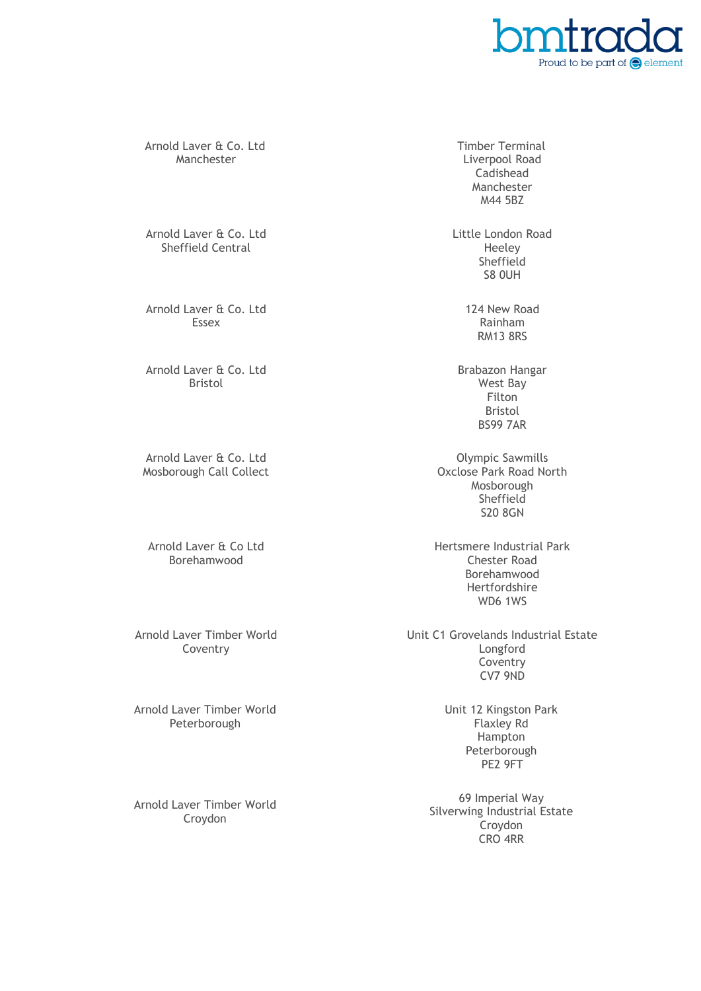

Arnold Laver & Co. Ltd Manchester

Arnold Laver & Co. Ltd Sheffield Central

Arnold Laver & Co. Ltd Essex

Arnold Laver & Co. Ltd Bristol

Arnold Laver & Co. Ltd Mosborough Call Collect

Arnold Laver & Co Ltd Borehamwood

Arnold Laver Timber World Coventry

Arnold Laver Timber World Peterborough

Arnold Laver Timber World Croydon

Timber Terminal Liverpool Road Cadishead Manchester M44 5BZ

Little London Road Heeley Sheffield S8 0UH

> 124 New Road Rainham RM13 8RS

Brabazon Hangar West Bay Filton Bristol BS99 7AR

Olympic Sawmills Oxclose Park Road North Mosborough Sheffield S20 8GN

Hertsmere Industrial Park Chester Road Borehamwood Hertfordshire WD6 1WS

Unit C1 Grovelands Industrial Estate Longford **Coventry** CV7 9ND

> Unit 12 Kingston Park Flaxley Rd Hampton Peterborough PE2 9FT

69 Imperial Way Silverwing Industrial Estate **Croydon** CRO 4RR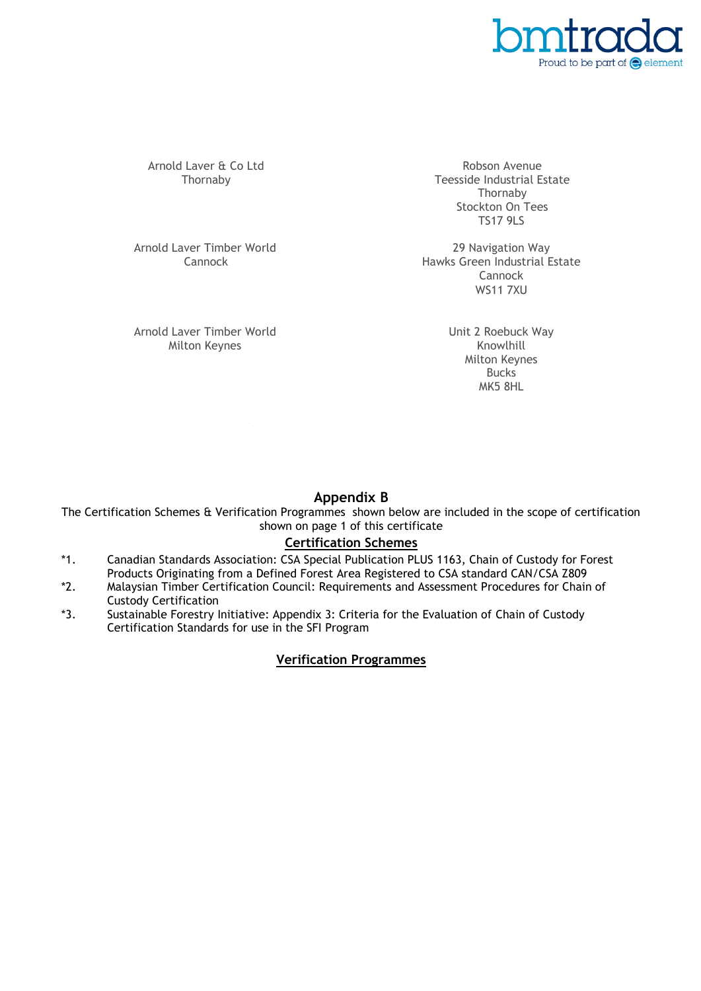

Arnold Laver & Co Ltd Thornaby

Robson Avenue Teesside Industrial Estate Thornaby Stockton On Tees TS17 9LS

Arnold Laver Timber World Cannock

Arnold Laver Timber World Milton Keynes

29 Navigation Way Hawks Green Industrial Estate Cannock WS11 7XU

> Unit 2 Roebuck Way Knowlhill Milton Keynes **Bucks** MK5 8HL

## **Appendix B**

The Certification Schemes & Verification Programmes shown below are included in the scope of certification shown on page 1 of this certificate

## **Certification Schemes**

- \*1. Canadian Standards Association: CSA Special Publication PLUS 1163, Chain of Custody for Forest Products Originating from a Defined Forest Area Registered to CSA standard CAN/CSA Z809
- \*2. Malaysian Timber Certification Council: Requirements and Assessment Procedures for Chain of Custody Certification
- \*3. Sustainable Forestry Initiative: Appendix 3: Criteria for the Evaluation of Chain of Custody Certification Standards for use in the SFI Program

## **Verification Programmes**